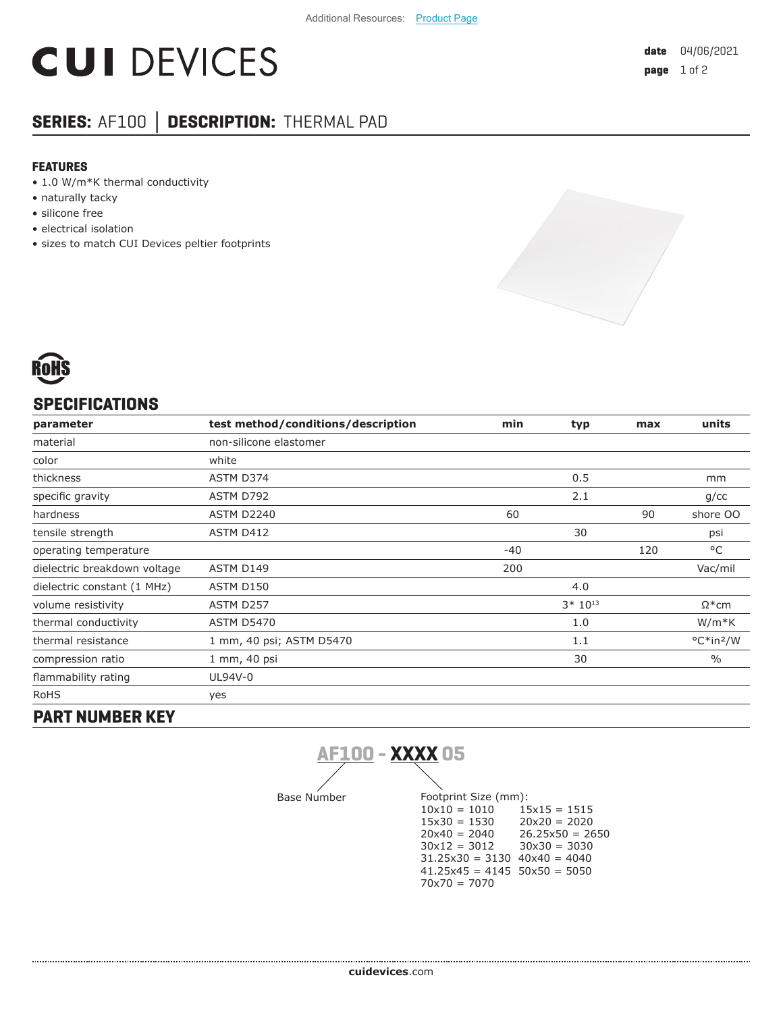# **CUI DEVICES**

### **SERIES:** AF100 **│ DESCRIPTION:** THERMAL PAD

#### **FEATURES**

- 1.0 W/m\*K thermal conductivity
- naturally tacky
- silicone free
- electrical isolation
- sizes to match CUI Devices peltier footprints





#### **SPECIFICATIONS**

| parameter                    | test method/conditions/description | min   | typ         | max | units                 |
|------------------------------|------------------------------------|-------|-------------|-----|-----------------------|
| material                     | non-silicone elastomer             |       |             |     |                       |
| color                        | white                              |       |             |     |                       |
| thickness                    | ASTM D374                          |       | 0.5         |     | mm                    |
| specific gravity             | ASTM D792                          |       | 2.1         |     | g/cc                  |
| hardness                     | <b>ASTM D2240</b>                  | 60    |             | 90  | shore OO              |
| tensile strength             | ASTM D412                          |       | 30          |     | psi                   |
| operating temperature        |                                    | $-40$ |             | 120 | °C                    |
| dielectric breakdown voltage | ASTM D149                          | 200   |             |     | Vac/mil               |
| dielectric constant (1 MHz)  | ASTM D150                          |       | 4.0         |     |                       |
| volume resistivity           | ASTM D257                          |       | $3*10^{13}$ |     | $\Omega^*$ cm         |
| thermal conductivity         | <b>ASTM D5470</b>                  |       | 1.0         |     | $W/m*K$               |
| thermal resistance           | 1 mm, 40 psi; ASTM D5470           |       | 1.1         |     | °C*in <sup>2</sup> /W |
| compression ratio            | 1 mm, 40 psi                       |       | 30          |     | $\frac{0}{0}$         |
| flammability rating          | UL94V-0                            |       |             |     |                       |
| <b>RoHS</b>                  | yes                                |       |             |     |                       |
| - - -- -- -- -- ---- -       |                                    |       |             |     |                       |

#### **PART NUMBER KEY**

**AF100 - XXXX 05**

Base Number Footprint Size (mm):<br> $10x10 = 1010$   $15x15 = 1515$  $10x10 = 1010$   $15x15 = 1515$ <br> $15x30 = 1530$   $20x20 = 2020$  $15x30 = 1530$  $20x40 = 2040$   $26.25x50 = 2650$ <br> $30x12 = 3012$   $30x30 = 3030$  $30x30 = 3030$  $31.25x30 = 3130$   $40x40 = 4040$  $41.25x45 = 4145$   $50x50 = 5050$ 70x70 = 7070